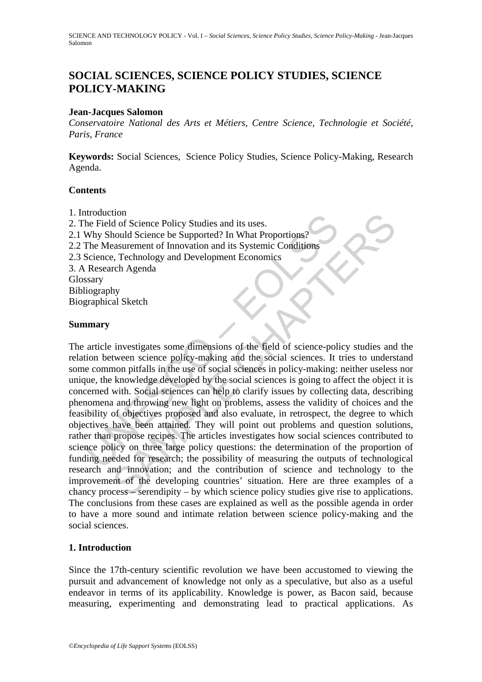# **SOCIAL SCIENCES, SCIENCE POLICY STUDIES, SCIENCE POLICY-MAKING**

### **Jean-Jacques Salomon**

*Conservatoire National des Arts et Métiers, Centre Science, Technologie et Société, Paris, France* 

**Keywords:** Social Sciences, Science Policy Studies, Science Policy-Making, Research Agenda.

#### **Contents**

- 1. Introduction
- 2. The Field of Science Policy Studies and its uses.
- 2.1 Why Should Science be Supported? In What Proportions?
- 2.2 The Measurement of Innovation and its Systemic Conditions
- 2.3 Science, Technology and Development Economics
- 3. A Research Agenda
- Glossary
- Bibliography Biographical Sketch

#### **Summary**

Involucion<br>In Field of Science Policy Studies and its uses.<br>
Why Should Science be Supported? In What Proportions?<br>
The Measurement of Innovation and its Systemic Conditions<br>
Science, Technology and Development Economics<br> Total of Science Policy Studies and its uses.<br>
And of Science Policy Studies and its uses.<br>
Technology and Development Economics<br>
The Apenda<br>
The Apenda<br>
The Apenda<br>
The Apenda<br>
The Apenda<br>
The Apenda<br>
The Apenda<br>
The Apen The article investigates some dimensions of the field of science-policy studies and the relation between science policy-making and the social sciences. It tries to understand some common pitfalls in the use of social sciences in policy-making: neither useless nor unique, the knowledge developed by the social sciences is going to affect the object it is concerned with. Social sciences can help to clarify issues by collecting data, describing phenomena and throwing new light on problems, assess the validity of choices and the feasibility of objectives proposed and also evaluate, in retrospect, the degree to which objectives have been attained. They will point out problems and question solutions, rather than propose recipes. The articles investigates how social sciences contributed to science policy on three large policy questions: the determination of the proportion of funding needed for research; the possibility of measuring the outputs of technological research and innovation; and the contribution of science and technology to the improvement of the developing countries' situation. Here are three examples of a chancy process – serendipity – by which science policy studies give rise to applications. The conclusions from these cases are explained as well as the possible agenda in order to have a more sound and intimate relation between science policy-making and the social sciences.

### **1. Introduction**

Since the 17th-century scientific revolution we have been accustomed to viewing the pursuit and advancement of knowledge not only as a speculative, but also as a useful endeavor in terms of its applicability. Knowledge is power, as Bacon said, because measuring, experimenting and demonstrating lead to practical applications. As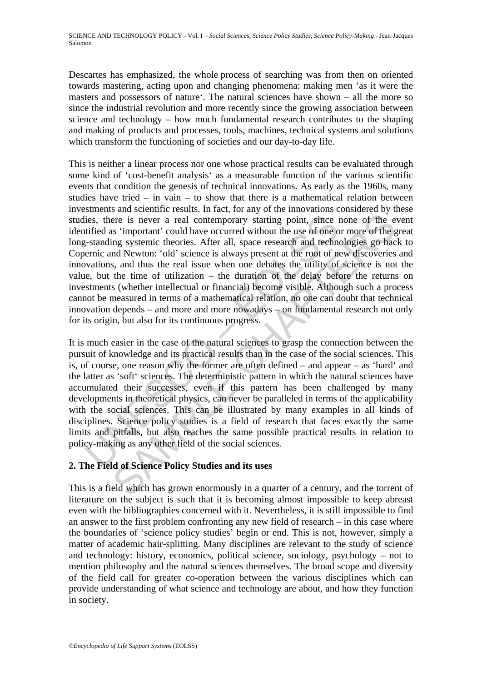Descartes has emphasized, the whole process of searching was from then on oriented towards mastering, acting upon and changing phenomena: making men 'as it were the masters and possessors of nature'. The natural sciences have shown – all the more so since the industrial revolution and more recently since the growing association between science and technology – how much fundamental research contributes to the shaping and making of products and processes, tools, machines, technical systems and solutions which transform the functioning of societies and our day-to-day life.

lies, there is never a real contemporary starting point, since i<br>tified as 'important' could have occurred without the use of one o<br>r-standing systemic theories. After all, space research and techner<br>mic and Newton: 'old' ere is never a real contemporary starting point, since none of the estandant in could have occurred without the use of one or more of the ging system tiesories. After all, space research and technologies go back and Newto This is neither a linear process nor one whose practical results can be evaluated through some kind of 'cost-benefit analysis' as a measurable function of the various scientific events that condition the genesis of technical innovations. As early as the 1960s, many studies have tried – in vain – to show that there is a mathematical relation between investments and scientific results. In fact, for any of the innovations considered by these studies, there is never a real contemporary starting point, since none of the event identified as 'important' could have occurred without the use of one or more of the great long-standing systemic theories. After all, space research and technologies go back to Copernic and Newton: 'old' science is always present at the root of new discoveries and innovations, and thus the real issue when one debates the utility of science is not the value, but the time of utilization – the duration of the delay before the returns on investments (whether intellectual or financial) become visible. Although such a process cannot be measured in terms of a mathematical relation, no one can doubt that technical innovation depends – and more and more nowadays – on fundamental research not only for its origin, but also for its continuous progress.

It is much easier in the case of the natural sciences to grasp the connection between the pursuit of knowledge and its practical results than in the case of the social sciences. This is, of course, one reason why the former are often defined – and appear – as 'hard' and the latter as 'soft' sciences. The deterministic pattern in which the natural sciences have accumulated their successes, even if this pattern has been challenged by many developments in theoretical physics, can never be paralleled in terms of the applicability with the social sciences. This can be illustrated by many examples in all kinds of disciplines. Science policy studies is a field of research that faces exactly the same limits and pitfalls, but also reaches the same possible practical results in relation to policy-making as any other field of the social sciences.

## **2. The Field of Science Policy Studies and its uses**

This is a field which has grown enormously in a quarter of a century, and the torrent of literature on the subject is such that it is becoming almost impossible to keep abreast even with the bibliographies concerned with it. Nevertheless, it is still impossible to find an answer to the first problem confronting any new field of research – in this case where the boundaries of 'science policy studies' begin or end. This is not, however, simply a matter of academic hair-splitting. Many disciplines are relevant to the study of science and technology: history, economics, political science, sociology, psychology – not to mention philosophy and the natural sciences themselves. The broad scope and diversity of the field call for greater co-operation between the various disciplines which can provide understanding of what science and technology are about, and how they function in society.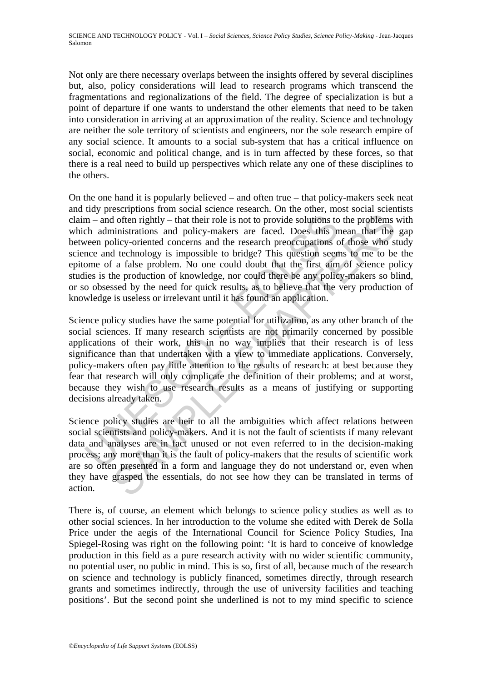Not only are there necessary overlaps between the insights offered by several disciplines but, also, policy considerations will lead to research programs which transcend the fragmentations and regionalizations of the field. The degree of specialization is but a point of departure if one wants to understand the other elements that need to be taken into consideration in arriving at an approximation of the reality. Science and technology are neither the sole territory of scientists and engineers, nor the sole research empire of any social science. It amounts to a social sub-system that has a critical influence on social, economic and political change, and is in turn affected by these forces, so that there is a real need to build up perspectives which relate any one of these disciplines to the others.

m – and often rightly – that their role is not to provide solutions to<br>ch administrations and policy-makers are faced. Does this n<br>veen policy-oriented concerns and the research preoccupations c<br>norm of a false problem. No In often rightly – that their role is not to provide solutions to the problems in<br>inistrations and policy-makers are faced. Does this mean that the bilcy-oriented concerns and the research precocopations of those who selec On the one hand it is popularly believed – and often true – that policy-makers seek neat and tidy prescriptions from social science research. On the other, most social scientists claim – and often rightly – that their role is not to provide solutions to the problems with which administrations and policy-makers are faced. Does this mean that the gap between policy-oriented concerns and the research preoccupations of those who study science and technology is impossible to bridge? This question seems to me to be the epitome of a false problem. No one could doubt that the first aim of science policy studies is the production of knowledge, nor could there be any policy-makers so blind, or so obsessed by the need for quick results, as to believe that the very production of knowledge is useless or irrelevant until it has found an application.

Science policy studies have the same potential for utilization, as any other branch of the social sciences. If many research scientists are not primarily concerned by possible applications of their work, this in no way implies that their research is of less significance than that undertaken with a view to immediate applications. Conversely, policy-makers often pay little attention to the results of research: at best because they fear that research will only complicate the definition of their problems; and at worst, because they wish to use research results as a means of justifying or supporting decisions already taken.

Science policy studies are heir to all the ambiguities which affect relations between social scientists and policy-makers. And it is not the fault of scientists if many relevant data and analyses are in fact unused or not even referred to in the decision-making process; any more than it is the fault of policy-makers that the results of scientific work are so often presented in a form and language they do not understand or, even when they have grasped the essentials, do not see how they can be translated in terms of action.

There is, of course, an element which belongs to science policy studies as well as to other social sciences. In her introduction to the volume she edited with Derek de Solla Price under the aegis of the International Council for Science Policy Studies, Ina Spiegel-Rosing was right on the following point: 'It is hard to conceive of knowledge production in this field as a pure research activity with no wider scientific community, no potential user, no public in mind. This is so, first of all, because much of the research on science and technology is publicly financed, sometimes directly, through research grants and sometimes indirectly, through the use of university facilities and teaching positions'. But the second point she underlined is not to my mind specific to science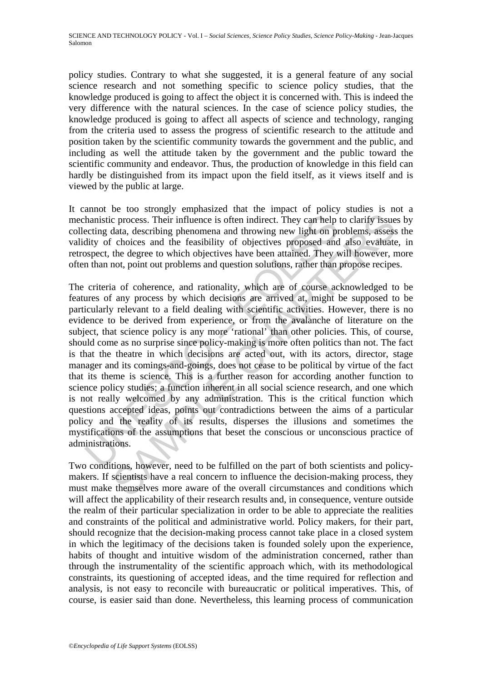policy studies. Contrary to what she suggested, it is a general feature of any social science research and not something specific to science policy studies, that the knowledge produced is going to affect the object it is concerned with. This is indeed the very difference with the natural sciences. In the case of science policy studies, the knowledge produced is going to affect all aspects of science and technology, ranging from the criteria used to assess the progress of scientific research to the attitude and position taken by the scientific community towards the government and the public, and including as well the attitude taken by the government and the public toward the scientific community and endeavor. Thus, the production of knowledge in this field can hardly be distinguished from its impact upon the field itself, as it views itself and is viewed by the public at large.

It cannot be too strongly emphasized that the impact of policy studies is not a mechanistic process. Their influence is often indirect. They can help to clarify issues by collecting data, describing phenomena and throwing new light on problems, assess the validity of choices and the feasibility of objectives proposed and also evaluate, in retrospect, the degree to which objectives have been attained. They will however, more often than not, point out problems and question solutions, rather than propose recipes.

hamistic process. Their influence is often indirect. They can help<br>ecting data, describing phenomena and throwing new light on pr<br>dity of choices and the feasibility of objectives proposed and<br>spect, the degree to which ob considers. Their influence is often indirect. They can help to clarify issue data, describing phenomena and throwing new light on problems, assess choices and the feasibility of objectives proposed and also evaluated be de The criteria of coherence, and rationality, which are of course acknowledged to be features of any process by which decisions are arrived at, might be supposed to be particularly relevant to a field dealing with scientific activities. However, there is no evidence to be derived from experience, or from the avalanche of literature on the subject, that science policy is any more 'rational' than other policies. This, of course, should come as no surprise since policy-making is more often politics than not. The fact is that the theatre in which decisions are acted out, with its actors, director, stage manager and its comings-and-goings, does not cease to be political by virtue of the fact that its theme is science. This is a further reason for according another function to science policy studies; a function inherent in all social science research, and one which is not really welcomed by any administration. This is the critical function which questions accepted ideas, points out contradictions between the aims of a particular policy and the reality of its results, disperses the illusions and sometimes the mystifications of the assumptions that beset the conscious or unconscious practice of administrations.

Two conditions, however, need to be fulfilled on the part of both scientists and policymakers. If scientists have a real concern to influence the decision-making process, they must make themselves more aware of the overall circumstances and conditions which will affect the applicability of their research results and, in consequence, venture outside the realm of their particular specialization in order to be able to appreciate the realities and constraints of the political and administrative world. Policy makers, for their part, should recognize that the decision-making process cannot take place in a closed system in which the legitimacy of the decisions taken is founded solely upon the experience, habits of thought and intuitive wisdom of the administration concerned, rather than through the instrumentality of the scientific approach which, with its methodological constraints, its questioning of accepted ideas, and the time required for reflection and analysis, is not easy to reconcile with bureaucratic or political imperatives. This, of course, is easier said than done. Nevertheless, this learning process of communication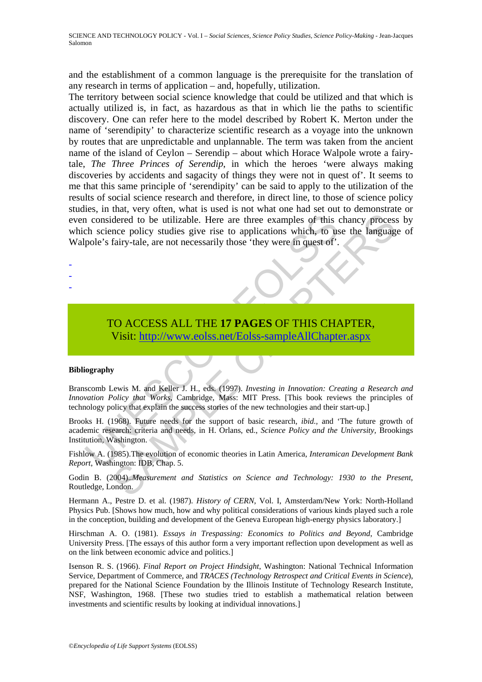and the establishment of a common language is the prerequisite for the translation of any research in terms of application – and, hopefully, utilization.

1 considered to be utilizable. Here are three examples of this check considered to be utilizable. Here are three examples of this check considered is fairy-tale, are not necessarily those 'they were in quest of'.<br>
TO ACCES dered to be utilizable. Here are three examples of this chancy process<br>dered to be utilizable. Here are three examples of this chancy process<br>nee policy studies give rise to applications which, to use the languag<br>fairy-tal The territory between social science knowledge that could be utilized and that which is actually utilized is, in fact, as hazardous as that in which lie the paths to scientific discovery. One can refer here to the model described by Robert K. Merton under the name of 'serendipity' to characterize scientific research as a voyage into the unknown by routes that are unpredictable and unplannable. The term was taken from the ancient name of the island of Ceylon – Serendip – about which Horace Walpole wrote a fairytale, *The Three Princes of Serendip*, in which the heroes 'were always making discoveries by accidents and sagacity of things they were not in quest of'. It seems to me that this same principle of 'serendipity' can be said to apply to the utilization of the results of social science research and therefore, in direct line, to those of science policy studies, in that, very often, what is used is not what one had set out to demonstrate or even considered to be utilizable. Here are three examples of this chancy process by which science policy studies give rise to applications which, to use the language of Walpole's fairy-tale, are not necessarily those 'they were in quest of'.

# TO ACCESS ALL THE **17 PAGES** OF THIS CHAPTER, Visit: http://www.eolss.net/Eolss-sampleAllChapter.aspx

#### **Bibliography**

- - -

Branscomb Lewis M. and Keller J. H., eds. (1997). *Investing in Innovation: Creating a Research and Innovation Policy that Works*, Cambridge, Mass: MIT Press. [This book reviews the principles of technology policy that explain the success stories of the new technologies and their start-up.]

Brooks H. (1968). Future needs for the support of basic research, *ibid.,* and 'The future growth of academic research: criteria and needs, in H. Orlans, ed., *Science Policy and the University,* Brookings Institution, Washington.

Fishlow A. (1985).The evolution of economic theories in Latin America, *Interamican Development Bank Report*, Washington: IDB, Chap. 5.

Godin B. (2004).*.Measurement and Statistics on Science and Technology: 1930 to the Present*, Routledge, London.

Hermann A., Pestre D. et al. (1987). *History of CERN*, Vol. I, Amsterdam/New York: North-Holland Physics Pub. [Shows how much, how and why political considerations of various kinds played such a role in the conception, building and development of the Geneva European high-energy physics laboratory.]

Hirschman A. O. (1981). *Essays in Trespassing: Economics to Politics and Beyond*, Cambridge University Press. [The essays of this author form a very important reflection upon development as well as on the link between economic advice and politics.]

Isenson R. S. (1966). *Final Report on Project Hindsight*, Washington: National Technical Information Service, Department of Commerce, and *TRACES (Technology Retrospect and Critical Events in Science*), prepared for the National Science Foundation by the Illinois Institute of Technology Research Institute, NSF, Washington, 1968. [These two studies tried to establish a mathematical relation between investments and scientific results by looking at individual innovations.]